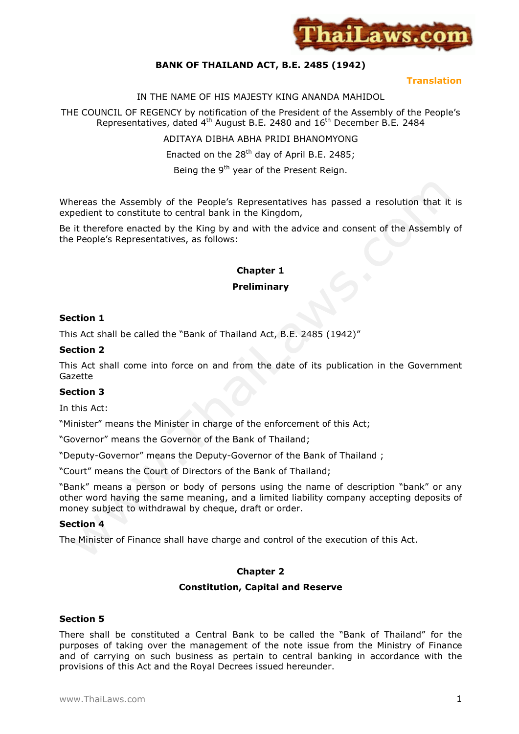

# **BANK OF THAILAND ACT, B.E. 2485 (1942)**

#### **Translation**

#### IN THE NAME OF HIS MAJESTY KING ANANDA MAHIDOL

THE COUNCIL OF REGENCY by notification of the President of the Assembly of the People's Representatives, dated 4<sup>th</sup> August B.E. 2480 and 16<sup>th</sup> December B.E. 2484

ADITAYA DIBHA ABHA PRIDI BHANOMYONG

Enacted on the  $28<sup>th</sup>$  day of April B.E. 2485;

Being the 9<sup>th</sup> year of the Present Reign.

Whereas the Assembly of the People's Representatives has passed a resolution that it is expedient to constitute to central bank in the Kingdom,

Be it therefore enacted by the King by and with the advice and consent of the Assembly of the People's Representatives, as follows:

# **Chapter 1 Preliminary**

#### **Section 1**

This Act shall be called the "Bank of Thailand Act, B.E. 2485 (1942)"

#### **Section 2**

This Act shall come into force on and from the date of its publication in the Government Gazette

## **Section 3**

In this Act:

"Minister" means the Minister in charge of the enforcement of this Act;

"Governor" means the Governor of the Bank of Thailand;

"Deputy-Governor" means the Deputy-Governor of the Bank of Thailand ;

"Court" means the Court of Directors of the Bank of Thailand;

"Bank" means a person or body of persons using the name of description "bank" or any other word having the same meaning, and a limited liability company accepting deposits of money subject to withdrawal by cheque, draft or order.

## **Section 4**

The Minister of Finance shall have charge and control of the execution of this Act.

## **Chapter 2**

#### **Constitution, Capital and Reserve**

#### **Section 5**

There shall be constituted a Central Bank to be called the "Bank of Thailand" for the purposes of taking over the management of the note issue from the Ministry of Finance and of carrying on such business as pertain to central banking in accordance with the provisions of this Act and the Royal Decrees issued hereunder.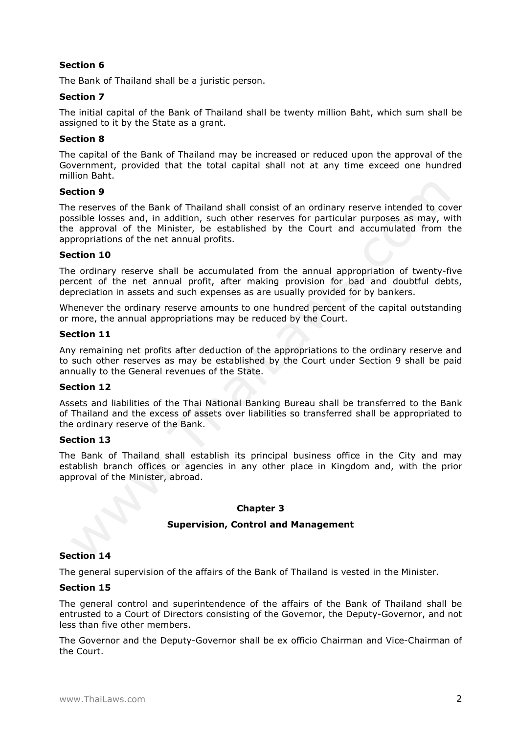The Bank of Thailand shall be a juristic person.

# **Section 7**

The initial capital of the Bank of Thailand shall be twenty million Baht, which sum shall be assigned to it by the State as a grant.

## **Section 8**

The capital of the Bank of Thailand may be increased or reduced upon the approval of the Government, provided that the total capital shall not at any time exceed one hundred million Baht.

## **Section 9**

The reserves of the Bank of Thailand shall consist of an ordinary reserve intended to cover possible losses and, in addition, such other reserves for particular purposes as may, with the approval of the Minister, be established by the Court and accumulated from the appropriations of the net annual profits.

## **Section 10**

The ordinary reserve shall be accumulated from the annual appropriation of twenty-five percent of the net annual profit, after making provision for bad and doubtful debts, depreciation in assets and such expenses as are usually provided for by bankers.

Whenever the ordinary reserve amounts to one hundred percent of the capital outstanding or more, the annual appropriations may be reduced by the Court.

## **Section 11**

Any remaining net profits after deduction of the appropriations to the ordinary reserve and to such other reserves as may be established by the Court under Section 9 shall be paid annually to the General revenues of the State.

## **Section 12**

Assets and liabilities of the Thai National Banking Bureau shall be transferred to the Bank of Thailand and the excess of assets over liabilities so transferred shall be appropriated to the ordinary reserve of the Bank.

# **Section 13**

The Bank of Thailand shall establish its principal business office in the City and may establish branch offices or agencies in any other place in Kingdom and, with the prior approval of the Minister, abroad.

# **Chapter 3**

# **Supervision, Control and Management**

# **Section 14**

The general supervision of the affairs of the Bank of Thailand is vested in the Minister.

# **Section 15**

The general control and superintendence of the affairs of the Bank of Thailand shall be entrusted to a Court of Directors consisting of the Governor, the Deputy-Governor, and not less than five other members.

The Governor and the Deputy-Governor shall be ex officio Chairman and Vice-Chairman of the Court.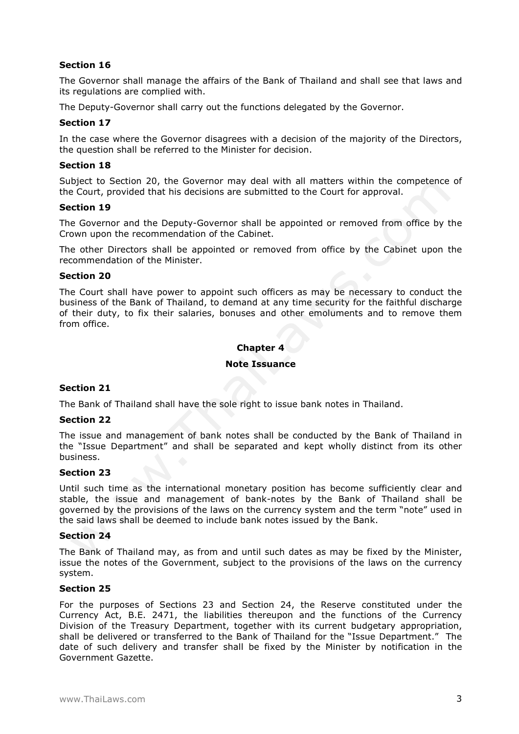The Governor shall manage the affairs of the Bank of Thailand and shall see that laws and its regulations are complied with.

The Deputy-Governor shall carry out the functions delegated by the Governor.

## **Section 17**

In the case where the Governor disagrees with a decision of the majority of the Directors, the question shall be referred to the Minister for decision.

#### **Section 18**

Subject to Section 20, the Governor may deal with all matters within the competence of the Court, provided that his decisions are submitted to the Court for approval.

#### **Section 19**

The Governor and the Deputy-Governor shall be appointed or removed from office by the Crown upon the recommendation of the Cabinet.

The other Directors shall be appointed or removed from office by the Cabinet upon the recommendation of the Minister.

#### **Section 20**

The Court shall have power to appoint such officers as may be necessary to conduct the business of the Bank of Thailand, to demand at any time security for the faithful discharge of their duty, to fix their salaries, bonuses and other emoluments and to remove them from office.

## **Chapter 4**

#### **Note Issuance**

## **Section 21**

The Bank of Thailand shall have the sole right to issue bank notes in Thailand.

#### **Section 22**

The issue and management of bank notes shall be conducted by the Bank of Thailand in the "Issue Department" and shall be separated and kept wholly distinct from its other business.

#### **Section 23**

Until such time as the international monetary position has become sufficiently clear and stable, the issue and management of bank-notes by the Bank of Thailand shall be governed by the provisions of the laws on the currency system and the term "note" used in the said laws shall be deemed to include bank notes issued by the Bank.

#### **Section 24**

The Bank of Thailand may, as from and until such dates as may be fixed by the Minister, issue the notes of the Government, subject to the provisions of the laws on the currency system.

#### **Section 25**

For the purposes of Sections 23 and Section 24, the Reserve constituted under the Currency Act, B.E. 2471, the liabilities thereupon and the functions of the Currency Division of the Treasury Department, together with its current budgetary appropriation, shall be delivered or transferred to the Bank of Thailand for the "Issue Department." The date of such delivery and transfer shall be fixed by the Minister by notification in the Government Gazette.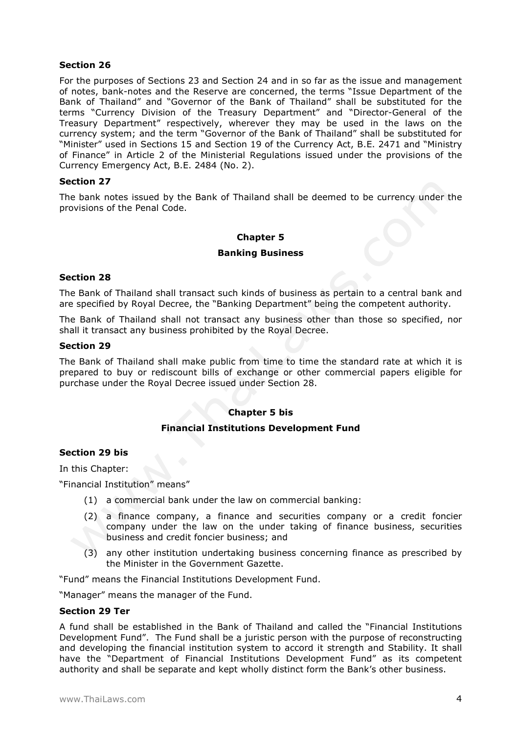For the purposes of Sections 23 and Section 24 and in so far as the issue and management of notes, bank-notes and the Reserve are concerned, the terms "Issue Department of the Bank of Thailand" and "Governor of the Bank of Thailand" shall be substituted for the terms "Currency Division of the Treasury Department" and "Director-General of the Treasury Department" respectively, wherever they may be used in the laws on the currency system; and the term "Governor of the Bank of Thailand" shall be substituted for "Minister" used in Sections 15 and Section 19 of the Currency Act, B.E. 2471 and "Ministry of Finance" in Article 2 of the Ministerial Regulations issued under the provisions of the Currency Emergency Act, B.E. 2484 (No. 2).

# **Section 27**

The bank notes issued by the Bank of Thailand shall be deemed to be currency under the provisions of the Penal Code.

## **Chapter 5**

#### **Banking Business**

#### **Section 28**

The Bank of Thailand shall transact such kinds of business as pertain to a central bank and are specified by Royal Decree, the "Banking Department" being the competent authority.

The Bank of Thailand shall not transact any business other than those so specified, nor shall it transact any business prohibited by the Royal Decree.

#### **Section 29**

The Bank of Thailand shall make public from time to time the standard rate at which it is prepared to buy or rediscount bills of exchange or other commercial papers eligible for purchase under the Royal Decree issued under Section 28.

## **Chapter 5 bis**

## **Financial Institutions Development Fund**

## **Section 29 bis**

In this Chapter:

"Financial Institution" means"

- (1) a commercial bank under the law on commercial banking:
- (2) a finance company, a finance and securities company or a credit foncier company under the law on the under taking of finance business, securities business and credit foncier business; and
- (3) any other institution undertaking business concerning finance as prescribed by the Minister in the Government Gazette.

"Fund" means the Financial Institutions Development Fund.

"Manager" means the manager of the Fund.

# **Section 29 Ter**

A fund shall be established in the Bank of Thailand and called the "Financial Institutions Development Fund". The Fund shall be a juristic person with the purpose of reconstructing and developing the financial institution system to accord it strength and Stability. It shall have the "Department of Financial Institutions Development Fund" as its competent authority and shall be separate and kept wholly distinct form the Bank's other business.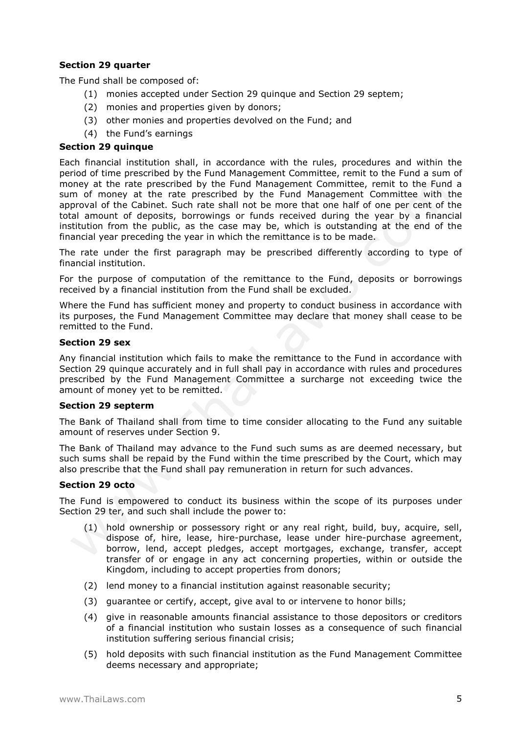# **Section 29 quarter**

The Fund shall be composed of:

- (1) monies accepted under Section 29 quinque and Section 29 septem;
- (2) monies and properties given by donors;
- (3) other monies and properties devolved on the Fund; and
- (4) the Fund's earnings

## **Section 29 quinque**

Each financial institution shall, in accordance with the rules, procedures and within the period of time prescribed by the Fund Management Committee, remit to the Fund a sum of money at the rate prescribed by the Fund Management Committee, remit to the Fund a sum of money at the rate prescribed by the Fund Management Committee with the approval of the Cabinet. Such rate shall not be more that one half of one per cent of the total amount of deposits, borrowings or funds received during the year by a financial institution from the public, as the case may be, which is outstanding at the end of the financial year preceding the year in which the remittance is to be made.

The rate under the first paragraph may be prescribed differently according to type of financial institution.

For the purpose of computation of the remittance to the Fund, deposits or borrowings received by a financial institution from the Fund shall be excluded.

Where the Fund has sufficient money and property to conduct business in accordance with its purposes, the Fund Management Committee may declare that money shall cease to be remitted to the Fund.

## **Section 29 sex**

Any financial institution which fails to make the remittance to the Fund in accordance with Section 29 quinque accurately and in full shall pay in accordance with rules and procedures prescribed by the Fund Management Committee a surcharge not exceeding twice the amount of money yet to be remitted.

## **Section 29 septerm**

The Bank of Thailand shall from time to time consider allocating to the Fund any suitable amount of reserves under Section 9.

The Bank of Thailand may advance to the Fund such sums as are deemed necessary, but such sums shall be repaid by the Fund within the time prescribed by the Court, which may also prescribe that the Fund shall pay remuneration in return for such advances.

## **Section 29 octo**

The Fund is empowered to conduct its business within the scope of its purposes under Section 29 ter, and such shall include the power to:

- (1) hold ownership or possessory right or any real right, build, buy, acquire, sell, dispose of, hire, lease, hire-purchase, lease under hire-purchase agreement, borrow, lend, accept pledges, accept mortgages, exchange, transfer, accept transfer of or engage in any act concerning properties, within or outside the Kingdom, including to accept properties from donors;
- (2) lend money to a financial institution against reasonable security;
- (3) guarantee or certify, accept, give aval to or intervene to honor bills;
- (4) give in reasonable amounts financial assistance to those depositors or creditors of a financial institution who sustain losses as a consequence of such financial institution suffering serious financial crisis;
- (5) hold deposits with such financial institution as the Fund Management Committee deems necessary and appropriate;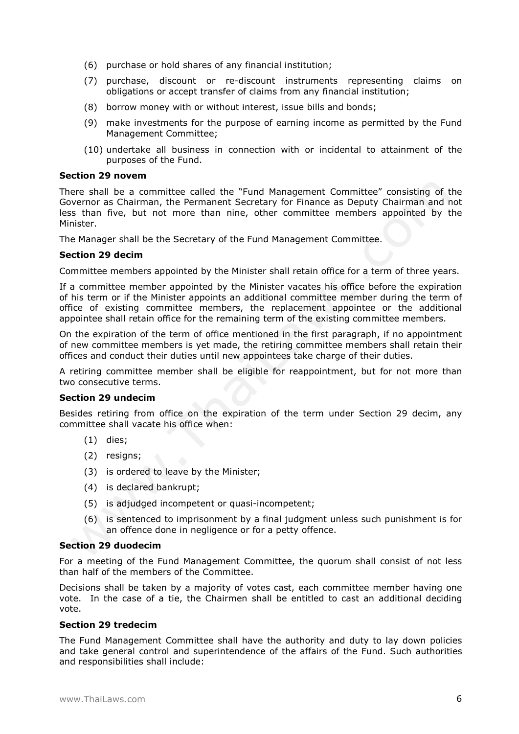- (6) purchase or hold shares of any financial institution;
- (7) purchase, discount or re-discount instruments representing claims on obligations or accept transfer of claims from any financial institution;
- (8) borrow money with or without interest, issue bills and bonds;
- (9) make investments for the purpose of earning income as permitted by the Fund Management Committee;
- (10) undertake all business in connection with or incidental to attainment of the purposes of the Fund.

#### **Section 29 novem**

There shall be a committee called the "Fund Management Committee" consisting of the Governor as Chairman, the Permanent Secretary for Finance as Deputy Chairman and not less than five, but not more than nine, other committee members appointed by the Minister.

The Manager shall be the Secretary of the Fund Management Committee.

## **Section 29 decim**

Committee members appointed by the Minister shall retain office for a term of three years.

If a committee member appointed by the Minister vacates his office before the expiration of his term or if the Minister appoints an additional committee member during the term of office of existing committee members, the replacement appointee or the additional appointee shall retain office for the remaining term of the existing committee members.

On the expiration of the term of office mentioned in the first paragraph, if no appointment of new committee members is yet made, the retiring committee members shall retain their offices and conduct their duties until new appointees take charge of their duties.

A retiring committee member shall be eligible for reappointment, but for not more than two consecutive terms.

## **Section 29 undecim**

Besides retiring from office on the expiration of the term under Section 29 decim, any committee shall vacate his office when:

- (1) dies;
- (2) resigns;
- (3) is ordered to leave by the Minister;
- (4) is declared bankrupt;
- (5) is adjudged incompetent or quasi-incompetent;
- (6) is sentenced to imprisonment by a final judgment unless such punishment is for an offence done in negligence or for a petty offence.

#### **Section 29 duodecim**

For a meeting of the Fund Management Committee, the quorum shall consist of not less than half of the members of the Committee.

Decisions shall be taken by a majority of votes cast, each committee member having one vote. In the case of a tie, the Chairmen shall be entitled to cast an additional deciding vote.

## **Section 29 tredecim**

The Fund Management Committee shall have the authority and duty to lay down policies and take general control and superintendence of the affairs of the Fund. Such authorities and responsibilities shall include: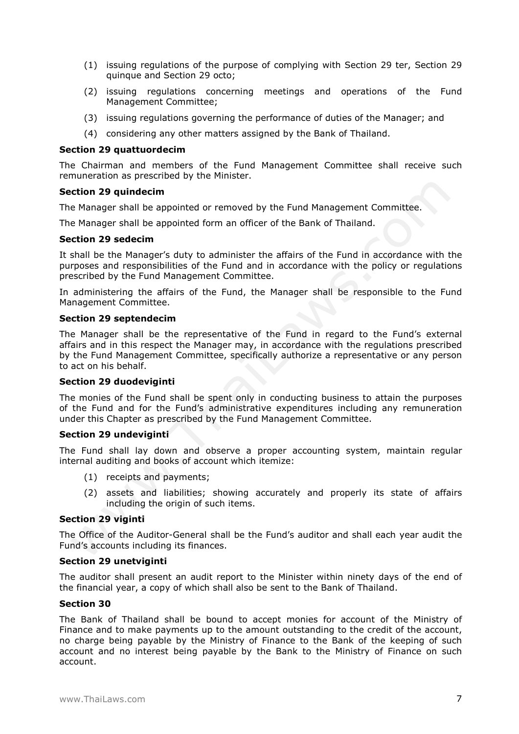- (1) issuing regulations of the purpose of complying with Section 29 ter, Section 29 quinque and Section 29 octo;
- (2) issuing regulations concerning meetings and operations of the Fund Management Committee;
- (3) issuing regulations governing the performance of duties of the Manager; and
- (4) considering any other matters assigned by the Bank of Thailand.

#### **Section 29 quattuordecim**

The Chairman and members of the Fund Management Committee shall receive such remuneration as prescribed by the Minister.

#### **Section 29 quindecim**

The Manager shall be appointed or removed by the Fund Management Committee.

The Manager shall be appointed form an officer of the Bank of Thailand.

#### **Section 29 sedecim**

It shall be the Manager's duty to administer the affairs of the Fund in accordance with the purposes and responsibilities of the Fund and in accordance with the policy or regulations prescribed by the Fund Management Committee.

In administering the affairs of the Fund, the Manager shall be responsible to the Fund Management Committee.

#### **Section 29 septendecim**

The Manager shall be the representative of the Fund in regard to the Fund's external affairs and in this respect the Manager may, in accordance with the regulations prescribed by the Fund Management Committee, specifically authorize a representative or any person to act on his behalf.

#### **Section 29 duodeviginti**

The monies of the Fund shall be spent only in conducting business to attain the purposes of the Fund and for the Fund's administrative expenditures including any remuneration under this Chapter as prescribed by the Fund Management Committee.

#### **Section 29 undeviginti**

The Fund shall lay down and observe a proper accounting system, maintain regular internal auditing and books of account which itemize:

- (1) receipts and payments;
- (2) assets and liabilities; showing accurately and properly its state of affairs including the origin of such items.

#### **Section 29 viginti**

The Office of the Auditor-General shall be the Fund's auditor and shall each year audit the Fund's accounts including its finances.

#### **Section 29 unetviginti**

The auditor shall present an audit report to the Minister within ninety days of the end of the financial year, a copy of which shall also be sent to the Bank of Thailand.

#### **Section 30**

The Bank of Thailand shall be bound to accept monies for account of the Ministry of Finance and to make payments up to the amount outstanding to the credit of the account, no charge being payable by the Ministry of Finance to the Bank of the keeping of such account and no interest being payable by the Bank to the Ministry of Finance on such account.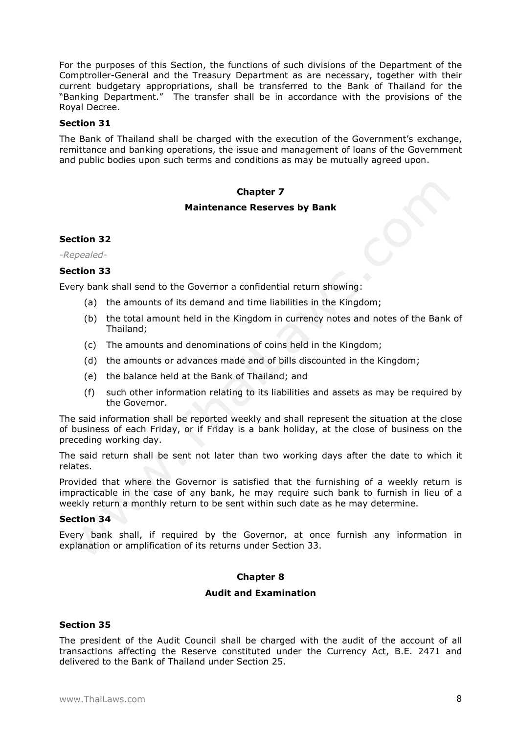For the purposes of this Section, the functions of such divisions of the Department of the Comptroller-General and the Treasury Department as are necessary, together with their current budgetary appropriations, shall be transferred to the Bank of Thailand for the "Banking Department." The transfer shall be in accordance with the provisions of the Royal Decree.

## **Section 31**

The Bank of Thailand shall be charged with the execution of the Government's exchange, remittance and banking operations, the issue and management of loans of the Government and public bodies upon such terms and conditions as may be mutually agreed upon.

# **Chapter 7**

## **Maintenance Reserves by Bank**

## **Section 32**

*-Repealed-*

# **Section 33**

Every bank shall send to the Governor a confidential return showing:

- (a) the amounts of its demand and time liabilities in the Kingdom;
- (b) the total amount held in the Kingdom in currency notes and notes of the Bank of Thailand;
- (c) The amounts and denominations of coins held in the Kingdom;
- (d) the amounts or advances made and of bills discounted in the Kingdom;
- (e) the balance held at the Bank of Thailand; and
- (f) such other information relating to its liabilities and assets as may be required by the Governor.

The said information shall be reported weekly and shall represent the situation at the close of business of each Friday, or if Friday is a bank holiday, at the close of business on the preceding working day.

The said return shall be sent not later than two working days after the date to which it relates.

Provided that where the Governor is satisfied that the furnishing of a weekly return is impracticable in the case of any bank, he may require such bank to furnish in lieu of a weekly return a monthly return to be sent within such date as he may determine.

## **Section 34**

Every bank shall, if required by the Governor, at once furnish any information in explanation or amplification of its returns under Section 33.

## **Chapter 8**

# **Audit and Examination**

# **Section 35**

The president of the Audit Council shall be charged with the audit of the account of all transactions affecting the Reserve constituted under the Currency Act, B.E. 2471 and delivered to the Bank of Thailand under Section 25.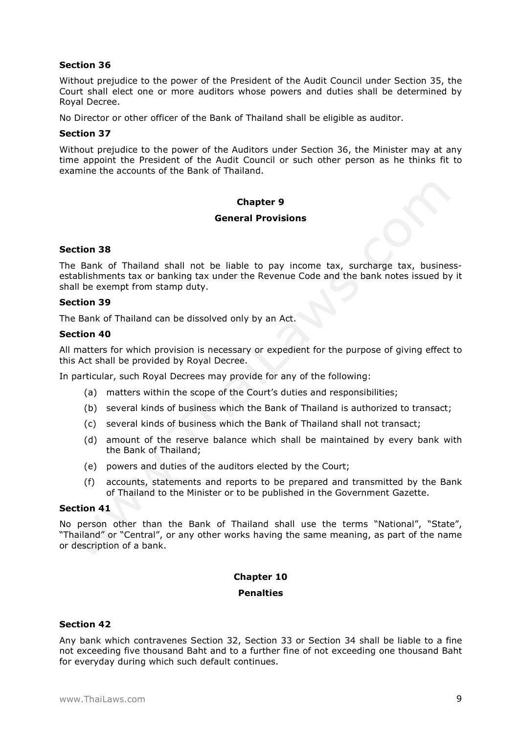Without prejudice to the power of the President of the Audit Council under Section 35, the Court shall elect one or more auditors whose powers and duties shall be determined by Royal Decree.

No Director or other officer of the Bank of Thailand shall be eligible as auditor.

## **Section 37**

Without prejudice to the power of the Auditors under Section 36, the Minister may at any time appoint the President of the Audit Council or such other person as he thinks fit to examine the accounts of the Bank of Thailand.

## **Chapter 9**

#### **General Provisions**

## **Section 38**

The Bank of Thailand shall not be liable to pay income tax, surcharge tax, businessestablishments tax or banking tax under the Revenue Code and the bank notes issued by it shall be exempt from stamp duty.

## **Section 39**

The Bank of Thailand can be dissolved only by an Act.

#### **Section 40**

All matters for which provision is necessary or expedient for the purpose of giving effect to this Act shall be provided by Royal Decree.

In particular, such Royal Decrees may provide for any of the following:

- (a) matters within the scope of the Court's duties and responsibilities;
- (b) several kinds of business which the Bank of Thailand is authorized to transact;
- (c) several kinds of business which the Bank of Thailand shall not transact;
- (d) amount of the reserve balance which shall be maintained by every bank with the Bank of Thailand;
- (e) powers and duties of the auditors elected by the Court;
- (f) accounts, statements and reports to be prepared and transmitted by the Bank of Thailand to the Minister or to be published in the Government Gazette.

#### **Section 41**

No person other than the Bank of Thailand shall use the terms "National", "State", "Thailand" or "Central", or any other works having the same meaning, as part of the name or description of a bank.

# **Chapter 10**

# **Penalties**

## **Section 42**

Any bank which contravenes Section 32, Section 33 or Section 34 shall be liable to a fine not exceeding five thousand Baht and to a further fine of not exceeding one thousand Baht for everyday during which such default continues.